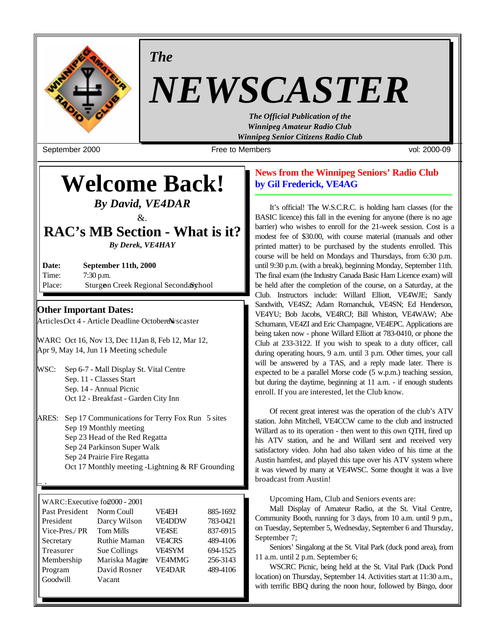

*The*

# *NEWSCASTER*

*The Official Publication of the Winnipeg Amateur Radio Club Winnipeg Senior Citizens Radio Club*

September 2000 Free to Members vol: 2000-09

# **Welcome Back!**

*By David, VE4DAR*

&. **RAC's MB Section - What is it?** *By Derek, VE4HAY*

**Date: September 11th, 2000** Time: 7:30 p.m. Place: Sturgon Creek Regional Secondary hool

**Other Important Dates:**

Other:

Articles Oct 4 - Article Deadline Octobere Wscaster

WARC: Oct 16, Nov 13, Dec 11 Jan 8, Feb 12, Mar 12, Apr 9, May 14, Jun 11- Meeting schedule

| WSC: | Sep 6-7 - Mall Display St. Vital Centre |
|------|-----------------------------------------|
|      | Sep. 11 - Classes Start                 |
|      | Sep. 14 - Annual Picnic                 |
|      | Oct 12 - Breakfast - Garden City Inn    |

ARES: Sep 17 Communications for Terry Fox Run 5 sites Sep 19 Monthly meeting Sep 23 Head of the Red Regatta Sep 24 Parkinson Super Walk Sep 24 Prairie Fire Regatta Oct 17 Monthly meeting -Lightning & RF Grounding

| WARC: Executive $f_02000 - 2001$ |                     |               |          |
|----------------------------------|---------------------|---------------|----------|
| Past President                   | Norm Coull          | <b>VF4EH</b>  | 885-1692 |
| President                        | Darcy Wilson        | VE4DDW        | 783-0421 |
| Vice-Pres./PR                    | Tom Mills           | <b>VE4SE</b>  | 837-6915 |
| Secretary                        | <b>Ruthie Maman</b> | <b>VEACRS</b> | 489-4106 |
| Treasurer                        | Sue Collings        | <b>VFASYM</b> | 694-1525 |
| Membership                       | Mariska Magire      | <b>VE4MMG</b> | 256-3143 |
| Program                          | David Rosner        | <b>VE4DAR</b> | 489-4106 |
| Goodwill                         | Vacant              |               |          |

## **News from the Winnipeg Seniors' Radio Club by Gil Frederick, VE4AG**

It's official! The W.S.C.R.C. is holding ham classes (for the BASIC licence) this fall in the evening for anyone (there is no age barrier) who wishes to enroll for the 21-week session. Cost is a modest fee of \$30.00, with course material (manuals and other printed matter) to be purchased by the students enrolled. This course will be held on Mondays and Thursdays, from 6:30 p.m. until 9:30 p.m. (with a break), beginning Monday, September 11th. The final exam (the Industry Canada Basic Ham Licence exam) will be held after the completion of the course, on a Saturday, at the Club. Instructors include: Willard Elliott, VE4WJE; Sandy Sandwith, VE4SZ; Adam Romanchuk, VE4SN; Ed Henderson, VE4YU; Bob Jacobs, VE4RCJ; Bill Whiston, VE4WAW; Abe Schumann, VE4ZI and Eric Champagne, VE4EPC. Applications are being taken now - phone Willard Elliott at 783-0410, or phone the Club at 233-3122. If you wish to speak to a duty officer, call during operating hours, 9 a.m. until 3 p.m. Other times, your call will be answered by a TAS, and a reply made later. There is expected to be a parallel Morse code (5 w.p.m.) teaching session, but during the daytime, beginning at 11 a.m. - if enough students enroll. If you are interested, let the Club know.

Of recent great interest was the operation of the club's ATV station. John Mitchell, VE4CCW came to the club and instructed Willard as to its operation - then went to this own QTH, fired up his ATV station, and he and Willard sent and received very satisfactory video. John had also taken video of his time at the Austin hamfest, and played this tape over his ATV system where it was viewed by many at VE4WSC. Some thought it was a live broadcast from Austin!

Upcoming Ham, Club and Seniors events are:

Mall Display of Amateur Radio, at the St. Vital Centre, Community Booth, running for 3 days, from 10 a.m. until 9 p.m., on Tuesday, September 5, Wednesday, September 6 and Thursday, September 7;

Seniors' Singalong at the St. Vital Park (duck pond area), from 11 a.m. until 2 p.m. September 6;

WSCRC Picnic, being held at the St. Vital Park (Duck Pond location) on Thursday, September 14. Activities start at 11:30 a.m., with terrific BBQ during the noon hour, followed by Bingo, door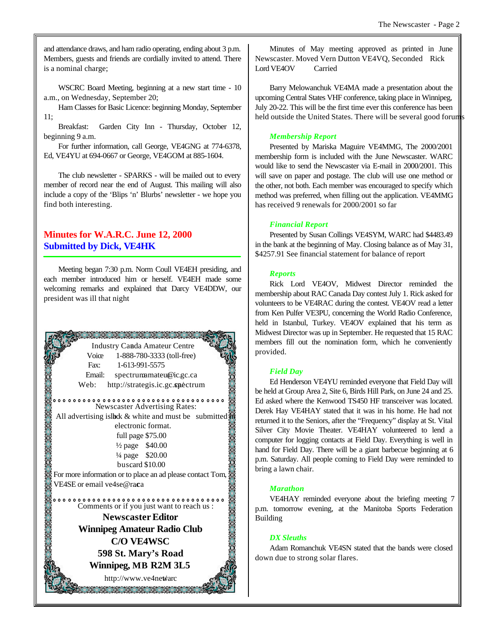and attendance draws, and ham radio operating, ending about 3 p.m. Members, guests and friends are cordially invited to attend. There is a nominal charge;

WSCRC Board Meeting, beginning at a new start time - 10 a.m., on Wednesday, September 20;

Ham Classes for Basic Licence: beginning Monday, September 11;

Breakfast: Garden City Inn - Thursday, October 12, beginning 9 a.m.

For further information, call George, VE4GNG at 774-6378, Ed, VE4YU at 694-0667 or George, VE4GOM at 885-1604.

The club newsletter - SPARKS - will be mailed out to every member of record near the end of August. This mailing will also include a copy of the 'Blips 'n' Blurbs' newsletter - we hope you find both interesting.

## **Minutes for W.A.R.C. June 12, 2000 Submitted by Dick, VE4HK**

Meeting began 7:30 p.m. Norm Coull VE4EH presiding, and each member introduced him or herself. VE4EH made some welcoming remarks and explained that Darcy VE4DDW, our president was ill that night



Minutes of May meeting approved as printed in June Newscaster. Moved Vern Dutton VE4VQ, Seconded Rick Lord VE4OV Carried

Barry Melowanchuk VE4MA made a presentation about the upcoming Central States VHF conference, taking place in Winnipeg, July 20-22. This will be the first time ever this conference has been held outside the United States. There will be several good forums

## *Membership Report*

Presented by Mariska Maguire VE4MMG, The 2000/2001 membership form is included with the June Newscaster. WARC would like to send the Newscaster via E-mail in 2000/2001. This will save on paper and postage. The club will use one method or the other, not both. Each member was encouraged to specify which method was preferred, when filling out the application. VE4MMG has received 9 renewals for 2000/2001 so far

## *Financial Report*

Presented by Susan Collings VE4SYM, WARC had \$4483.49 in the bank at the beginning of May. Closing balance as of May 31, \$4257.91 See financial statement for balance of report

## *Reports*

Rick Lord VE4OV, Midwest Director reminded the membership about RAC Canada Day contest July 1. Rick asked for volunteers to be VE4RAC during the contest. VE4OV read a letter from Ken Pulfer VE3PU, concerning the World Radio Conference, held in Istanbul, Turkey. VE4OV explained that his term as Midwest Director was up in September. He requested that 15 RAC members fill out the nomination form, which he conveniently provided.

#### *Field Day*

Ed Henderson VE4YU reminded everyone that Field Day will be held at Group Area 2, Site 6, Birds Hill Park, on June 24 and 25. Ed asked where the Kenwood TS450 HF transceiver was located. Derek Hay VE4HAY stated that it was in his home. He had not returned it to the Seniors, after the "Frequency" display at St. Vital Silver City Movie Theater. VE4HAY volunteered to lend a computer for logging contacts at Field Day. Everything is well in hand for Field Day. There will be a giant barbecue beginning at 6 p.m. Saturday. All people coming to Field Day were reminded to bring a lawn chair.

## *Marathon*

VE4HAY reminded everyone about the briefing meeting 7 p.m. tomorrow evening, at the Manitoba Sports Federation Building

## *DX Sleuths*

Adam Romanchuk VE4SN stated that the bands were closed down due to strong solar flares.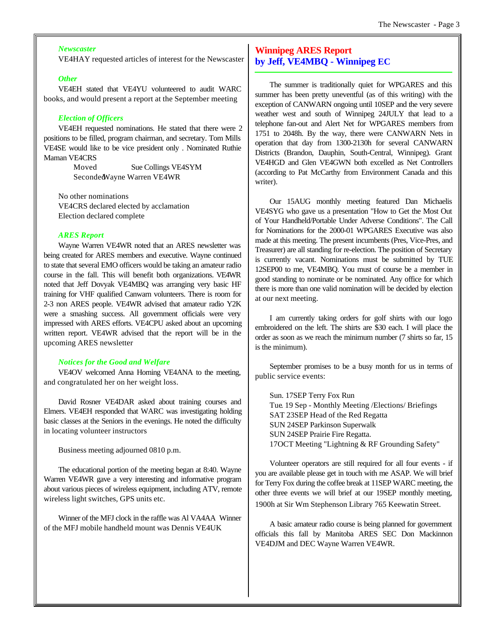#### *Newscaster*

VE4HAY requested articles of interest for the Newscaster

## *Other*

VE4EH stated that VE4YU volunteered to audit WARC books, and would present a report at the September meeting

### *Election of Officers*

VE4EH requested nominations. He stated that there were 2 positions to be filled, program chairman, and secretary. Tom Mills VE4SE would like to be vice president only . Nominated Ruthie Maman VE4CRS

> Moved Sue Collings VE4SYM SecondedWayne Warren VE4WR

No other nominations VE4CRS declared elected by acclamation Election declared complete

## *ARES Report*

Wayne Warren VE4WR noted that an ARES newsletter was being created for ARES members and executive. Wayne continued to state that several EMO officers would be taking an amateur radio course in the fall. This will benefit both organizations. VE4WR noted that Jeff Dovyak VE4MBQ was arranging very basic HF training for VHF qualified Canwarn volunteers. There is room for 2-3 non ARES people. VE4WR advised that amateur radio Y2K were a smashing success. All government officials were very impressed with ARES efforts. VE4CPU asked about an upcoming written report. VE4WR advised that the report will be in the upcoming ARES newsletter

#### *Notices for the Good and Welfare*

VE4OV welcomed Anna Horning VE4ANA to the meeting, and congratulated her on her weight loss.

David Rosner VE4DAR asked about training courses and Elmers. VE4EH responded that WARC was investigating holding basic classes at the Seniors in the evenings. He noted the difficulty in locating volunteer instructors

Business meeting adjourned 0810 p.m.

The educational portion of the meeting began at 8:40. Wayne Warren VE4WR gave a very interesting and informative program about various pieces of wireless equipment, including ATV, remote wireless light switches, GPS units etc.

Winner of the MFJ clock in the raffle was Al VA4AA Winner of the MFJ mobile handheld mount was Dennis VE4UK

## **Winnipeg ARES Report by Jeff, VE4MBQ - Winnipeg EC**

The summer is traditionally quiet for WPGARES and this summer has been pretty uneventful (as of this writing) with the exception of CANWARN ongoing until 10SEP and the very severe weather west and south of Winnipeg 24JULY that lead to a telephone fan-out and Alert Net for WPGARES members from 1751 to 2048h. By the way, there were CANWARN Nets in operation that day from 1300-2130h for several CANWARN Districts (Brandon, Dauphin, South-Central, Winnipeg). Grant VE4HGD and Glen VE4GWN both excelled as Net Controllers (according to Pat McCarthy from Environment Canada and this writer).

Our 15AUG monthly meeting featured Dan Michaelis VE4SYG who gave us a presentation "How to Get the Most Out of Your Handheld/Portable Under Adverse Conditions". The Call for Nominations for the 2000-01 WPGARES Executive was also made at this meeting. The present incumbents (Pres, Vice-Pres, and Treasurer) are all standing for re-election. The position of Secretary is currently vacant. Nominations must be submitted by TUE 12SEP00 to me, VE4MBQ. You must of course be a member in good standing to nominate or be nominated. Any office for which there is more than one valid nomination will be decided by election at our next meeting.

I am currently taking orders for golf shirts with our logo embroidered on the left. The shirts are \$30 each. I will place the order as soon as we reach the minimum number (7 shirts so far, 15 is the minimum).

September promises to be a busy month for us in terms of public service events:

Sun. 17SEP Terry Fox Run Tue. 19 Sep - Monthly Meeting /Elections/ Briefings SAT 23SEP Head of the Red Regatta SUN 24SEP Parkinson Superwalk SUN 24SEP Prairie Fire Regatta. 17OCT Meeting "Lightning & RF Grounding Safety"

Volunteer operators are still required for all four events - if you are available please get in touch with me ASAP. We will brief for Terry Fox during the coffee break at 11SEP WARC meeting, the other three events we will brief at our 19SEP monthly meeting, 1900h at Sir Wm Stephenson Library 765 Keewatin Street.

A basic amateur radio course is being planned for government officials this fall by Manitoba ARES SEC Don Mackinnon VE4DJM and DEC Wayne Warren VE4WR.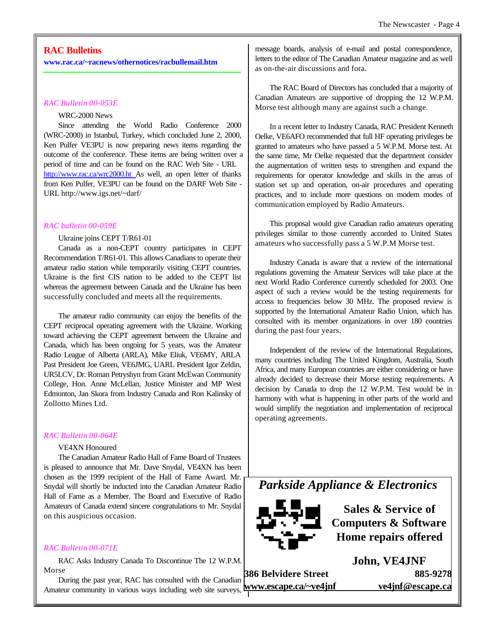## **RAC Bulletins**

**www.rac.ca/~racnews/othernotices/racbullemail.htm**

## *RAC Bulletin 00-053E*

## WRC-2000 News

Since attending the World Radio Conference 2000 (WRC-2000) in Istanbul, Turkey, which concluded June 2, 2000, Ken Pulfer VE3PU is now preparing news items regarding the outcome of the conference. These items are being written over a period of time and can be found on the RAC Web Site - URL http://www.rac.ca/wrc2000.ht As well, an open letter of thanks from Ken Pulfer, VE3PU can be found on the DARF Web Site - URL http://www.igs.net/~darf/

## *RAC bulletin 00-059E*

## Ukraine joins CEPT T/R61-01

Canada as a non-CEPT country participates in CEPT Recommendation T/R61-01. This allows Canadians to operate their amateur radio station while temporarily visiting CEPT countries. Ukraine is the first CIS nation to be added to the CEPT list whereas the agreement between Canada and the Ukraine has been successfully concluded and meets all the requirements.

The amateur radio community can enjoy the benefits of the CEPT reciprocal operating agreement with the Ukraine. Working toward achieving the CEPT agreement between the Ukraine and Canada, which has been ongoing for 5 years, was the Amateur Radio League of Alberta (ARLA), Mike Eliuk, VE6MY, ARLA Past President Joe Green, VE6JMG, UARL President Igor Zeldin, UR5LCV, Dr. Roman Petryshyn from Grant McEwan Community College, Hon. Anne McLellan, Justice Minister and MP West Edmonton, Jan Skora from Industry Canada and Ron Kalinsky of Zollotto Mines Ltd.

## *RAC Bulletin 00-064E*

## VE4XN Honoured

The Canadian Amateur Radio Hall of Fame Board of Trustees is pleased to announce that Mr. Dave Snydal, VE4XN has been chosen as the 1999 recipient of the Hall of Fame Award. Mr. Snydal will shortly be inducted into the Canadian Amateur Radio Hall of Fame as a Member. The Board and Executive of Radio Amateurs of Canada extend sincere congratulations to Mr. Snydal on this auspicious occasion.

## *RAC Bulletin 00-071E*

RAC Asks Industry Canada To Discontinue The 12 W.P.M. Morse

During the past year, RAC has consulted with the Canadian Amateur community in various ways including web site surveys, **www.escape.ca/~ve4jnf** ve4jnf@escape.cal

message boards, analysis of e-mail and postal correspondence, letters to the editor of The Canadian Amateur magazine and as well as on-the-air discussions and fora.

The RAC Board of Directors has concluded that a majority of Canadian Amateurs are supportive of dropping the 12 W.P.M. Morse test although many are against such a change.

In a recent letter to Industry Canada, RAC President Kenneth Oelke, VE6AFO recommended that full HF operating privileges be granted to amateurs who have passed a 5 W.P.M. Morse test. At the same time, Mr Oelke requested that the department consider the augmentation of written tests to strengthen and expand the requirements for operator knowledge and skills in the areas of station set up and operation, on-air procedures and operating practices, and to include more questions on modern modes of communication employed by Radio Amateurs.

This proposal would give Canadian radio amateurs operating privileges similar to those currently accorded to United States amateurs who successfully pass a 5 W.P.M Morse test.

Industry Canada is aware that a review of the international regulations governing the Amateur Services will take place at the next World Radio Conference currently scheduled for 2003. One aspect of such a review would be the testing requirements for access to frequencies below 30 MHz. The proposed review is supported by the International Amateur Radio Union, which has consulted with its member organizations in over 180 countries during the past four years.

Independent of the review of the International Regulations, many countries including The United Kingdom, Australia, South Africa, and many European countries are either considering or have already decided to decrease their Morse testing requirements. A decision by Canada to drop the 12 W.P.M. Test would be in harmony with what is happening in other parts of the world and would simplify the negotiation and implementation of reciprocal operating agreements.

## *Parkside Appliance & Electronics*



**Sales & Service of Computers & Software Home repairs offered**

**John, VE4JNF**

**386 Belvidere Street 885-9278**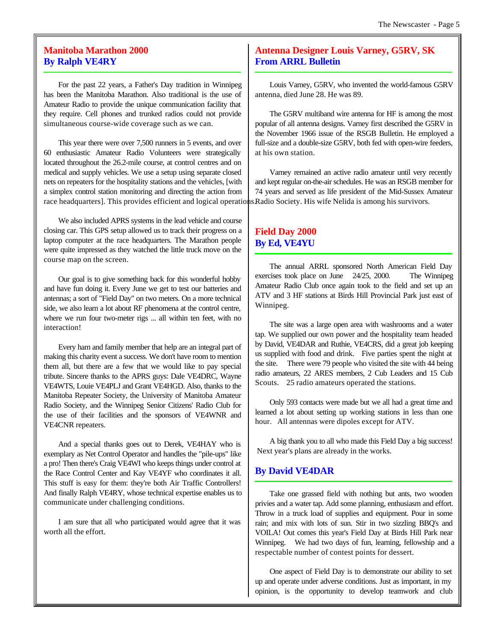## **Manitoba Marathon 2000 By Ralph VE4RY**

For the past 22 years, a Father's Day tradition in Winnipeg has been the Manitoba Marathon. Also traditional is the use of Amateur Radio to provide the unique communication facility that they require. Cell phones and trunked radios could not provide simultaneous course-wide coverage such as we can.

This year there were over 7,500 runners in 5 events, and over 60 enthusiastic Amateur Radio Volunteers were strategically located throughout the 26.2-mile course, at control centres and on medical and supply vehicles. We use a setup using separate closed nets on repeaters for the hospitality stations and the vehicles, [with a simplex control station monitoring and directing the action from race headquarters]. This provides efficient and logical operation

We also included APRS systems in the lead vehicle and course closing car. This GPS setup allowed us to track their progress on a laptop computer at the race headquarters. The Marathon people were quite impressed as they watched the little truck move on the course map on the screen.

Our goal is to give something back for this wonderful hobby and have fun doing it. Every June we get to test our batteries and antennas; a sort of "Field Day" on two meters. On a more technical side, we also learn a lot about RF phenomena at the control centre, where we run four two-meter rigs ... all within ten feet, with no interaction!

Every ham and family member that help are an integral part of making this charity event a success. We don't have room to mention them all, but there are a few that we would like to pay special tribute. Sincere thanks to the APRS guys: Dale VE4DRC, Wayne VE4WTS, Louie VE4PLJ and Grant VE4HGD. Also, thanks to the Manitoba Repeater Society, the University of Manitoba Amateur Radio Society, and the Winnipeg Senior Citizens' Radio Club for the use of their facilities and the sponsors of VE4WNR and VE4CNR repeaters.

And a special thanks goes out to Derek, VE4HAY who is exemplary as Net Control Operator and handles the "pile-ups" like a pro! Then there's Craig VE4WI who keeps things under control at the Race Control Center and Kay VE4YF who coordinates it all. This stuff is easy for them: they're both Air Traffic Controllers! And finally Ralph VE4RY, whose technical expertise enables us to communicate under challenging conditions.

I am sure that all who participated would agree that it was worth all the effort.

## **Antenna Designer Louis Varney, G5RV, SK From ARRL Bulletin**

Louis Varney, G5RV, who invented the world-famous G5RV antenna, died June 28. He was 89.

The G5RV multiband wire antenna for HF is among the most popular of all antenna designs. Varney first described the G5RV in the November 1966 issue of the RSGB Bulletin. He employed a full-size and a double-size G5RV, both fed with open-wire feeders, at his own station.

Varney remained an active radio amateur until very recently and kept regular on-the-air schedules. He was an RSGB member for 74 years and served as life president of the Mid-Sussex Amateur Radio Society. His wife Nelida is among his survivors.

## **Field Day 2000 By Ed, VE4YU**

The annual ARRL sponsored North American Field Day exercises took place on June 24/25, 2000. The Winnipeg Amateur Radio Club once again took to the field and set up an ATV and 3 HF stations at Birds Hill Provincial Park just east of Winnipeg.

The site was a large open area with washrooms and a water tap. We supplied our own power and the hospitality team headed by David, VE4DAR and Ruthie, VE4CRS, did a great job keeping us supplied with food and drink. Five parties spent the night at the site. There were 79 people who visited the site with 44 being radio amateurs, 22 ARES members, 2 Cub Leaders and 15 Cub Scouts. 25 radio amateurs operated the stations.

Only 593 contacts were made but we all had a great time and learned a lot about setting up working stations in less than one hour. All antennas were dipoles except for ATV.

A big thank you to all who made this Field Day a big success! Next year's plans are already in the works.

## **By David VE4DAR**

Take one grassed field with nothing but ants, two wooden privies and a water tap. Add some planning, enthusiasm and effort. Throw in a truck load of supplies and equipment. Pour in some rain; and mix with lots of sun. Stir in two sizzling BBQ's and VOILA! Out comes this year's Field Day at Birds Hill Park near Winnipeg. We had two days of fun, learning, fellowship and a respectable number of contest points for dessert.

One aspect of Field Day is to demonstrate our ability to set up and operate under adverse conditions. Just as important, in my opinion, is the opportunity to develop teamwork and club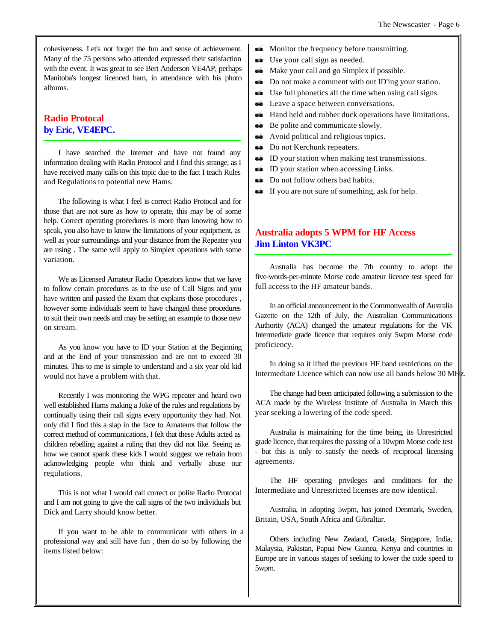cohesiveness. Let's not forget the fun and sense of achievement. Many of the 75 persons who attended expressed their satisfaction with the event. It was great to see Bert Anderson VE4AP, perhaps Manitoba's longest licenced ham, in attendance with his photo albums.

## **Radio Protocal by Eric, VE4EPC.**

I have searched the Internet and have not found any information dealing with Radio Protocol and I find this strange, as I have received many calls on this topic due to the fact I teach Rules and Regulations to potential new Hams.

The following is what I feel is correct Radio Protocal and for those that are not sure as how to operate, this may be of some help. Correct operating procedures is more than knowing how to speak, you also have to know the limitations of your equipment, as well as your surroundings and your distance from the Repeater you are using . The same will apply to Simplex operations with some variation.

We as Licensed Amateur Radio Operators know that we have to follow certain procedures as to the use of Call Signs and you have written and passed the Exam that explains those procedures , however some individuals seem to have changed these procedures to suit their own needs and may be setting an example to those new on stream.

As you know you have to ID your Station at the Beginning and at the End of your transmission and are not to exceed 30 minutes. This to me is simple to understand and a six year old kid would not have a problem with that.

Recently I was monitoring the WPG repeater and heard two well established Hams making a Joke of the rules and regulations by continually using their call signs every opportunity they had. Not only did I find this a slap in the face to Amateurs that follow the correct method of communications, I felt that these Adults acted as children rebelling against a ruling that they did not like. Seeing as how we cannot spank these kids I would suggest we refrain from acknowledging people who think and verbally abuse our regulations.

This is not what I would call correct or polite Radio Protocal and I am not going to give the call signs of the two individuals but Dick and Larry should know better.

If you want to be able to communicate with others in a professional way and still have fun , then do so by following the items listed below:

- Monitor the frequency before transmitting.
- Use your call sign as needed.
- Make your call and go Simplex if possible.
- Do not make a comment with out ID'ing your station.
- $\bullet$  Use full phonetics all the time when using call signs.
- E Leave a space between conversations.
- Hand held and rubber duck operations have limitations.
- Be polite and communicate slowly.
- Avoid political and religious topics.
- Do not Kerchunk repeaters.
- ID your station when making test transmissions.
- º ID your station when accessing Links.
- Do not follow others bad habits.
- º If you are not sure of something, ask for help.

## **Australia adopts 5 WPM for HF Access Jim Linton VK3PC**

Australia has become the 7th country to adopt the five-words-per-minute Morse code amateur licence test speed for full access to the HF amateur bands.

In an official announcement in the Commonwealth of Australia Gazette on the 12th of July, the Australian Communications Authority (ACA) changed the amateur regulations for the VK Intermediate grade licence that requires only 5wpm Morse code proficiency.

In doing so it lifted the previous HF band restrictions on the Intermediate Licence which can now use all bands below 30 MHz.

The change had been anticipated following a submission to the ACA made by the Wireless Institute of Australia in March this year seeking a lowering of the code speed.

Australia is maintaining for the time being, its Unrestricted grade licence, that requires the passing of a 10wpm Morse code test - but this is only to satisfy the needs of reciprocal licensing agreements.

The HF operating privileges and conditions for the Intermediate and Unrestricted licenses are now identical.

Australia, in adopting 5wpm, has joined Denmark, Sweden, Britain, USA, South Africa and Gibraltar.

Others including New Zealand, Canada, Singapore, India, Malaysia, Pakistan, Papua New Guinea, Kenya and countries in Europe are in various stages of seeking to lower the code speed to 5wpm.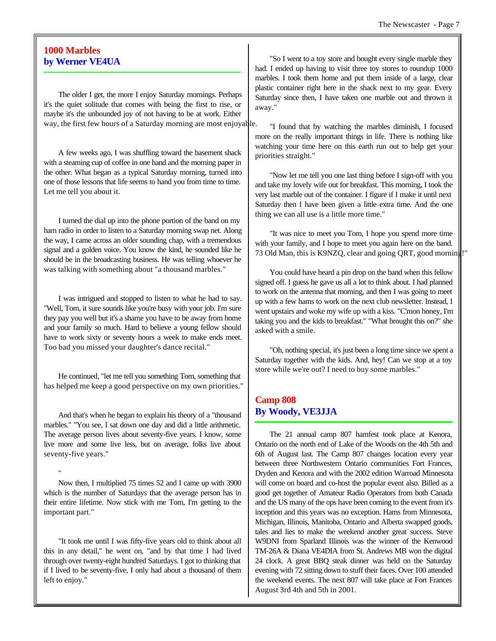| <b>1000 Marbles</b>                                                                                                                                                                                                                                                                                                                                                            | "So I went to a toy store and bought every single marble they                                                                                                                                                                                                                                                                                                                                                                                                                                                      |
|--------------------------------------------------------------------------------------------------------------------------------------------------------------------------------------------------------------------------------------------------------------------------------------------------------------------------------------------------------------------------------|--------------------------------------------------------------------------------------------------------------------------------------------------------------------------------------------------------------------------------------------------------------------------------------------------------------------------------------------------------------------------------------------------------------------------------------------------------------------------------------------------------------------|
| by Werner VE4UA                                                                                                                                                                                                                                                                                                                                                                | had. I ended up having to visit three toy stores to roundup 1000                                                                                                                                                                                                                                                                                                                                                                                                                                                   |
| The older I get, the more I enjoy Saturday mornings. Perhaps<br>it's the quiet solitude that comes with being the first to rise, or<br>maybe it's the unbounded joy of not having to be at work. Either                                                                                                                                                                        | marbles. I took them home and put them inside of a large, clear<br>plastic container right here in the shack next to my gear. Every<br>Saturday since then, I have taken one marble out and thrown it<br>away."                                                                                                                                                                                                                                                                                                    |
| way, the first few hours of a Saturday morning are most enjoyable.<br>A few weeks ago, I was shuffling toward the basement shack<br>with a steaming cup of coffee in one hand and the morning paper in<br>the other. What began as a typical Saturday morning, turned into<br>one of those lessons that life seems to hand you from time to time.<br>Let me tell you about it. | "I found that by watching the marbles diminish, I focused<br>more on the really important things in life. There is nothing like<br>watching your time here on this earth run out to help get your<br>priorities straight."<br>"Now let me tell you one last thing before I sign-off with you<br>and take my lovely wife out for breakfast. This morning, I took the<br>very last marble out of the container. I figure if I make it until next<br>Saturday then I have been given a little extra time. And the one |
| I turned the dial up into the phone portion of the band on my                                                                                                                                                                                                                                                                                                                  | thing we can all use is a little more time."                                                                                                                                                                                                                                                                                                                                                                                                                                                                       |
| ham radio in order to listen to a Saturday morning swap net. Along                                                                                                                                                                                                                                                                                                             | "It was nice to meet you Tom, I hope you spend more time                                                                                                                                                                                                                                                                                                                                                                                                                                                           |
| the way, I came across an older sounding chap, with a tremendous                                                                                                                                                                                                                                                                                                               | with your family, and I hope to meet you again here on the band.                                                                                                                                                                                                                                                                                                                                                                                                                                                   |
| signal and a golden voice. You know the kind, he sounded like he                                                                                                                                                                                                                                                                                                               | 73 Old Man, this is K9NZQ, clear and going QRT, good morning!"                                                                                                                                                                                                                                                                                                                                                                                                                                                     |
| should be in the broadcasting business. He was telling whoever he                                                                                                                                                                                                                                                                                                              | You could have heard a pin drop on the band when this fellow                                                                                                                                                                                                                                                                                                                                                                                                                                                       |
| was talking with something about "a thousand marbles."                                                                                                                                                                                                                                                                                                                         | signed off. I guess he gave us all a lot to think about. I had planned                                                                                                                                                                                                                                                                                                                                                                                                                                             |
| I was intrigued and stopped to listen to what he had to say.                                                                                                                                                                                                                                                                                                                   | to work on the antenna that morning, and then I was going to meet                                                                                                                                                                                                                                                                                                                                                                                                                                                  |
| "Well, Tom, it sure sounds like you're busy with your job. I'm sure                                                                                                                                                                                                                                                                                                            | up with a few hams to work on the next club newsletter. Instead, I                                                                                                                                                                                                                                                                                                                                                                                                                                                 |
| they pay you well but it's a shame you have to be away from home                                                                                                                                                                                                                                                                                                               | went upstairs and woke my wife up with a kiss. "C'mon honey, I'm                                                                                                                                                                                                                                                                                                                                                                                                                                                   |
| and your family so much. Hard to believe a young fellow should                                                                                                                                                                                                                                                                                                                 | taking you and the kids to breakfast." "What brought this on?" she                                                                                                                                                                                                                                                                                                                                                                                                                                                 |
| have to work sixty or seventy hours a week to make ends meet.                                                                                                                                                                                                                                                                                                                  | asked with a smile.                                                                                                                                                                                                                                                                                                                                                                                                                                                                                                |
| Too bad you missed your daughter's dance recital."                                                                                                                                                                                                                                                                                                                             | "Oh, nothing special, it's just been a long time since we spent a                                                                                                                                                                                                                                                                                                                                                                                                                                                  |
| He continued, "let me tell you something Tom, something that                                                                                                                                                                                                                                                                                                                   | Saturday together with the kids. And, hey! Can we stop at a toy                                                                                                                                                                                                                                                                                                                                                                                                                                                    |
| has helped me keep a good perspective on my own priorities."                                                                                                                                                                                                                                                                                                                   | store while we're out? I need to buy some marbles."                                                                                                                                                                                                                                                                                                                                                                                                                                                                |
| And that's when he began to explain his theory of a "thousand                                                                                                                                                                                                                                                                                                                  | <b>Camp 808</b><br>By Woody, VE3JJA                                                                                                                                                                                                                                                                                                                                                                                                                                                                                |
| marbles." "You see, I sat down one day and did a little arithmetic.                                                                                                                                                                                                                                                                                                            | The 21 annual camp 807 hamfest took place at Kenora,                                                                                                                                                                                                                                                                                                                                                                                                                                                               |
| The average person lives about seventy-five years. I know, some                                                                                                                                                                                                                                                                                                                | Ontario on the north end of Lake of the Woods on the 4th 5th and                                                                                                                                                                                                                                                                                                                                                                                                                                                   |
| live more and some live less, but on average, folks live about                                                                                                                                                                                                                                                                                                                 | 6th of August last. The Camp 807 changes location every year                                                                                                                                                                                                                                                                                                                                                                                                                                                       |
| seventy-five years."                                                                                                                                                                                                                                                                                                                                                           | between three Northwestern Ontario communities Fort Frances,                                                                                                                                                                                                                                                                                                                                                                                                                                                       |
| "                                                                                                                                                                                                                                                                                                                                                                              | Dryden and Kenora and with the 2002 edition Warroad Minnesota                                                                                                                                                                                                                                                                                                                                                                                                                                                      |
| Now then, I multiplied 75 times 52 and I came up with 3900<br>which is the number of Saturdays that the average person has in<br>their entire lifetime. Now stick with me Tom, I'm getting to the<br>important part."                                                                                                                                                          | will come on board and co-host the popular event also. Billed as a<br>good get together of Amateur Radio Operators from both Canada<br>and the US many of the ops have been coming to the event from it's<br>inception and this years was no exception. Hams from Minnesota,<br>Michigan, Illinois, Manitoba, Ontario and Alberta swapped goods,<br>tales and lies to make the weekend another great success. Steve                                                                                                |
| "It took me until I was fifty-five years old to think about all                                                                                                                                                                                                                                                                                                                | W9DNI from Sparland Illinois was the winner of the Kenwood                                                                                                                                                                                                                                                                                                                                                                                                                                                         |
| this in any detail," he went on, "and by that time I had lived                                                                                                                                                                                                                                                                                                                 | TM-26A & Diana VE4DIA from St. Andrews MB won the digital                                                                                                                                                                                                                                                                                                                                                                                                                                                          |
| through over twenty-eight hundred Saturdays. I got to thinking that                                                                                                                                                                                                                                                                                                            | 24 clock. A great BBQ steak dinner was held on the Saturday                                                                                                                                                                                                                                                                                                                                                                                                                                                        |
| if I lived to be seventy-five, I only had about a thousand of them                                                                                                                                                                                                                                                                                                             | evening with 72 sitting down to stuff their faces. Over 100 attended                                                                                                                                                                                                                                                                                                                                                                                                                                               |
| left to enjoy."                                                                                                                                                                                                                                                                                                                                                                | the weekend events. The next 807 will take place at Fort Frances                                                                                                                                                                                                                                                                                                                                                                                                                                                   |

August 3rd 4th and 5th in 2001.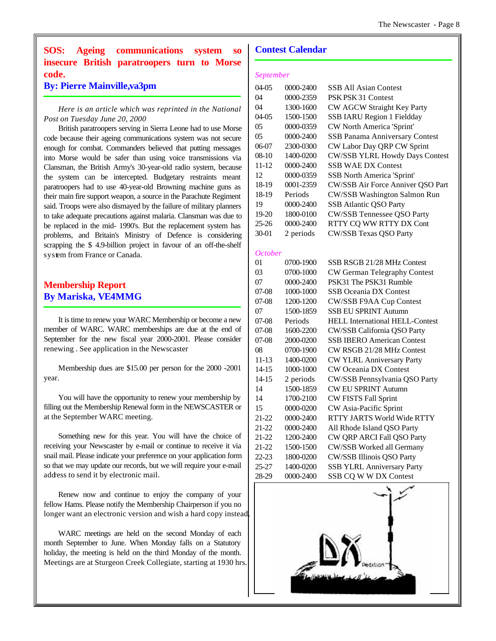## **SOS: Ageing communications system so insecure British paratroopers turn to Morse code.**

## **By: Pierre Mainville,va3pm**

*Here is an article which was reprinted in the National Post on Tuesday June 20, 2000*

British paratroopers serving in Sierra Leone had to use Morse code because their ageing communications system was not secure enough for combat. Commanders believed that putting messages into Morse would be safer than using voice transmissions via Clansman, the British Army's 30-year-old radio system, because the system can be intercepted. Budgetary restraints meant paratroopers had to use 40-year-old Browning machine guns as their main fire support weapon, a source in the Parachute Regiment said. Troops were also dismayed by the failure of military planners to take adequate precautions against malaria. Clansman was due to be replaced in the mid- 1990's. But the replacement system has problems, and Britain's Ministry of Defence is considering scrapping the \$ 4.9-billion project in favour of an off-the-shelf system from France or Canada.

## **Membership Report By Mariska, VE4MMG**

It is time to renew your WARC Membership or become a new member of WARC. WARC memberships are due at the end of September for the new fiscal year 2000-2001. Please consider renewing . See application in the Newscaster

Membership dues are \$15.00 per person for the 2000 -2001 year.

You will have the opportunity to renew your membership by filling out the Membership Renewal form in the NEWSCASTER or at the September WARC meeting.

Something new for this year. You will have the choice of receiving your Newscaster by e-mail or continue to receive it via snail mail. Please indicate your preference on your application form so that we may update our records, but we will require your e-mail address to send it by electronic mail.

Renew now and continue to enjoy the company of your fellow Hams. Please notify the Membership Chairperson if you no longer want an electronic version and wish a hard copy instead

WARC meetings are held on the second Monday of each month September to June. When Monday falls on a Statutory holiday, the meeting is held on the third Monday of the month. Meetings are at Sturgeon Creek Collegiate, starting at 1930 hrs.

## **Contest Calendar**

| September |  |  |
|-----------|--|--|
|           |  |  |

| $  r$ $\cdot$  |           |                                        |
|----------------|-----------|----------------------------------------|
| $04-05$        | 0000-2400 | <b>SSB All Asian Contest</b>           |
| 04             | 0000-2359 | PSK PSK 31 Contest                     |
| 04             | 1300-1600 | CW AGCW Straight Key Party             |
| 04-05          | 1500-1500 | SSB IARU Region 1 Fieldday             |
| 05             | 0000-0359 | CW North America 'Sprint'              |
| 05             | 0000-2400 | SSB Panama Anniversary Contest         |
| 06-07          | 2300-0300 | CW Labor Day QRP CW Sprint             |
| 08-10          | 1400-0200 | <b>CW/SSB YLRL Howdy Days Contest</b>  |
| 11-12          | 0000-2400 | <b>SSB WAE DX Contest</b>              |
| 12             | 0000-0359 | SSB North America 'Sprint'             |
| 18-19          | 0001-2359 | CW/SSB Air Force Anniver QSO Part      |
| 18-19          | Periods   | CW/SSB Washington Salmon Run           |
| 19             | 0000-2400 | SSB Atlantic QSO Party                 |
| 19-20          | 1800-0100 | CW/SSB Tennessee QSO Party             |
| $25 - 26$      | 0000-2400 | RTTY CQ WW RTTY DX Cont                |
| 30-01          | 2 periods | CW/SSB Texas QSO Party                 |
|                |           |                                        |
| <i>October</i> |           |                                        |
| 01             | 0700-1900 | SSB RSGB 21/28 MHz Contest             |
| 03             | 0700-1000 | CW German Telegraphy Contest           |
| 07             | 0000-2400 | PSK31 The PSK31 Rumble                 |
| $07-08$        | 1000-1000 | <b>SSB Oceania DX Contest</b>          |
| $07-08$        | 1200-1200 | CW/SSB F9AA Cup Contest                |
| 07             | 1500-1859 | <b>SSB EU SPRINT Autumn</b>            |
| 07-08          | Periods   | <b>HELL International HELL-Contest</b> |
| $07-08$        | 1600-2200 | CW/SSB California QSO Party            |
| $07-08$        | 2000-0200 | <b>SSB IBERO American Contest</b>      |
| 08             | 0700-1900 | CW RSGB 21/28 MHz Contest              |
| 11-13          | 1400-0200 | <b>CW YLRL Anniversary Party</b>       |
| 14-15          | 1000-1000 | <b>CW Oceania DX Contest</b>           |
| 14-15          | 2 periods | CW/SSB Pennsylvania QSO Party          |
| 14             | 1500-1859 | <b>CW EU SPRINT Autumn</b>             |
| 14             | 1700-2100 | <b>CW FISTS Fall Sprint</b>            |
| 15             | 0000-0200 | CW Asia-Pacific Sprint                 |
| 21-22          | 0000-2400 | RTTY JARTS World Wide RTTY             |
| 21-22          | 0000-2400 | All Rhode Island QSO Party             |
| 21-22          | 1200-2400 | CW QRP ARCI Fall QSO Party             |
| 21-22          | 1500-1500 | CW/SSB Worked all Germany              |
| 22-23          | 1800-0200 | CW/SSB Illinois QSO Party              |
| 25-27          | 1400-0200 | <b>SSB YLRL Anniversary Party</b>      |
| 28-29          | 0000-2400 | SSB CQ W W DX Contest                  |
|                |           |                                        |

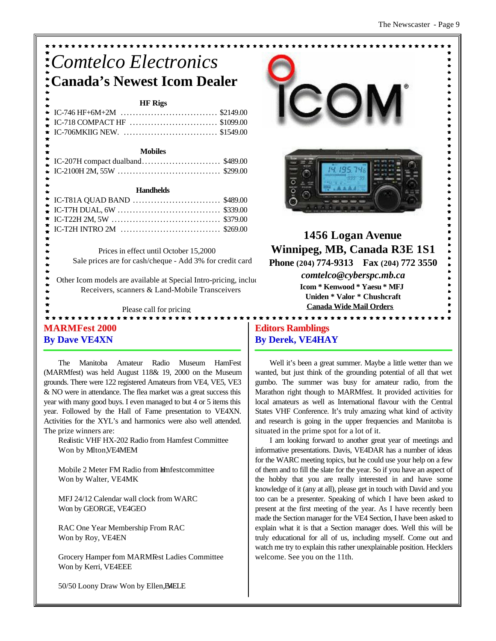## *Comtelco Electronics* **Canada's Newest Icom Dealer**

## **HF Rigs**

## **Mobiles**

| $IC-207H$ compact dualband\$489.00 |  |
|------------------------------------|--|
|                                    |  |

#### **Handhelds**

Prices in effect until October 15,2000 Sale prices are for cash/cheque - Add 3% for credit card

Other Icom models are available at Special Intro-pricing, including Receivers, scanners & Land-Mobile Transceivers

#### Please call for pricing

## **MARMFest 2000 By Dave VE4XN**

\* \* \* \* \*

The Manitoba Amateur Radio Museum HamFest (MARMfest) was held August 118& 19, 2000 on the Museum grounds. There were 122 registered Amateurs from VE4, VE5, VE3 & NO were in attendance. The flea market was a great success this year with many good buys. I even managed to but 4 or 5 items this year. Followed by the Hall of Fame presentation to VE4XN. Activities for the XYL's and harmonics were also well attended. The prize winners are:

Realistic VHF HX-202 Radio from Hamfest Committee Won by Milton,VE4MEM

Mobile 2 Meter FM Radio from **H**amfest committee Won by Walter, VE4MK

MFJ 24/12 Calendar wall clock from WARC Won by GEORGE, VE4GEO

RAC One Year Membership From RAC Won by Roy, VE4EN

Grocery Hamper fom MARMFest Ladies Committee Won by Kerri, VE4EEE

50/50 Loony Draw Won by Ellen, BAELE



## **1456 Logan Avenue Winnipeg, MB, Canada R3E 1S1 Phone (204) 774-9313 Fax (204) 772 3550**

*comtelco@cyberspc.mb.ca* **Icom \* Kenwood \* Yaesu \* MFJ Uniden \* Valor \* Chushcraft Canada Wide Mail Orders**

----------

**Editors Ramblings By Derek, VE4HAY**

Well it's been a great summer. Maybe a little wetter than we wanted, but just think of the grounding potential of all that wet gumbo. The summer was busy for amateur radio, from the Marathon right though to MARMfest. It provided activities for local amateurs as well as International flavour with the Central States VHF Conference. It's truly amazing what kind of activity and research is going in the upper frequencies and Manitoba is situated in the prime spot for a lot of it.

I am looking forward to another great year of meetings and informative presentations. Davis, VE4DAR has a number of ideas for the WARC meeting topics, but he could use your help on a few of them and to fill the slate for the year. So if you have an aspect of the hobby that you are really interested in and have some knowledge of it (any at all), please get in touch with David and you too can be a presenter. Speaking of which I have been asked to present at the first meeting of the year. As I have recently been made the Section manager for the VE4 Section, I have been asked to explain what it is that a Section manager does. Well this will be truly educational for all of us, including myself. Come out and watch me try to explain this rather unexplainable position. Hecklers welcome. See you on the 11th.